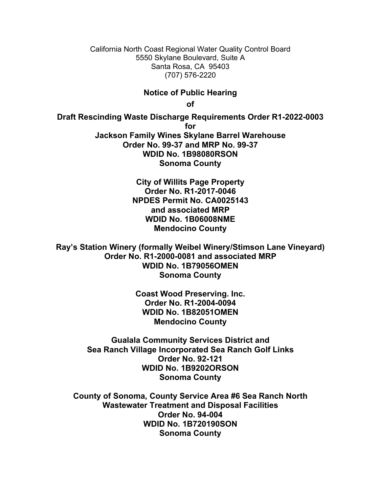California North Coast Regional Water Quality Control Board 5550 Skylane Boulevard, Suite A Santa Rosa, CA 95403 (707) 576-2220

## **Notice of Public Hearing**

**of**

**Draft Rescinding Waste Discharge Requirements Order R1-2022-0003 for Jackson Family Wines Skylane Barrel Warehouse Order No. 99-37 and MRP No. 99-37 WDID No. 1B98080RSON Sonoma County**

> **City of Willits Page Property Order No. R1-2017-0046 NPDES Permit No. CA0025143 and associated MRP WDID No. 1B06008NME Mendocino County**

**Ray's Station Winery (formally Weibel Winery/Stimson Lane Vineyard) Order No. R1-2000-0081 and associated MRP WDID No. 1B79056OMEN Sonoma County**

> **Coast Wood Preserving. Inc. Order No. R1-2004-0094 WDID No. 1B82051OMEN Mendocino County**

**Gualala Community Services District and Sea Ranch Village Incorporated Sea Ranch Golf Links Order No. 92-121 WDID No. 1B9202ORSON Sonoma County**

**County of Sonoma, County Service Area #6 Sea Ranch North Wastewater Treatment and Disposal Facilities Order No. 94-004 WDID No. 1B720190SON Sonoma County**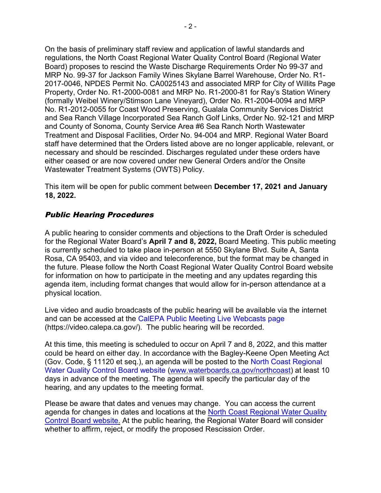On the basis of preliminary staff review and application of lawful standards and regulations, the North Coast Regional Water Quality Control Board (Regional Water Board) proposes to rescind the Waste Discharge Requirements Order No 99-37 and MRP No. 99-37 for Jackson Family Wines Skylane Barrel Warehouse, Order No. R1- 2017-0046, NPDES Permit No. CA0025143 and associated MRP for City of Willits Page Property, Order No. R1-2000-0081 and MRP No. R1-2000-81 for Ray's Station Winery (formally Weibel Winery/Stimson Lane Vineyard), Order No. R1-2004-0094 and MRP No. R1-2012-0055 for Coast Wood Preserving, Gualala Community Services District and Sea Ranch Village Incorporated Sea Ranch Golf Links, Order No. 92-121 and MRP and County of Sonoma, County Service Area #6 Sea Ranch North Wastewater Treatment and Disposal Facilities, Order No. 94-004 and MRP. Regional Water Board staff have determined that the Orders listed above are no longer applicable, relevant, or necessary and should be rescinded. Discharges regulated under these orders have either ceased or are now covered under new General Orders and/or the Onsite Wastewater Treatment Systems (OWTS) Policy.

This item will be open for public comment between **December 17, 2021 and January 18, 2022.**

## Public Hearing Procedures

A public hearing to consider comments and objections to the Draft Order is scheduled for the Regional Water Board's **April 7 and 8, 2022,** Board Meeting. This public meeting is currently scheduled to take place in-person at 5550 Skylane Blvd. Suite A, Santa Rosa, CA 95403, and via video and teleconference, but the format may be changed in the future. Please follow the North Coast Regional Water Quality Control Board website for information on how to participate in the meeting and any updates regarding this agenda item, including format changes that would allow for in-person attendance at a physical location.

Live video and audio broadcasts of the public hearing will be available via the internet and can be accessed at the [CalEPA Public Meeting Live Webcasts page](https://video.calepa.ca.gov/) (https://video.calepa.ca.gov/). The public hearing will be recorded.

At this time, this meeting is scheduled to occur on April 7 and 8, 2022, and this matter could be heard on either day. In accordance with the Bagley-Keene Open Meeting Act (Gov. Code, § 11120 et seq.), an agenda will be posted to the [North Coast Regional](https://www.waterboards.ca.gov/northcoast/)  [Water Quality Control Board website](https://www.waterboards.ca.gov/northcoast/) [\(www.waterboards.ca.gov/northcoast](http://www.waterboards.ca.gov/northcoast)) at least 10 days in advance of the meeting. The agenda will specify the particular day of the hearing, and any updates to the meeting format.

Please be aware that dates and venues may change. You can access the current agenda for changes in dates and locations at the [North Coast Regional Water Quality](https://www.waterboards.ca.gov/northcoast/)  [Control Board website](https://www.waterboards.ca.gov/northcoast/). At the public hearing, the Regional Water Board will consider whether to affirm, reject, or modify the proposed Rescission Order.